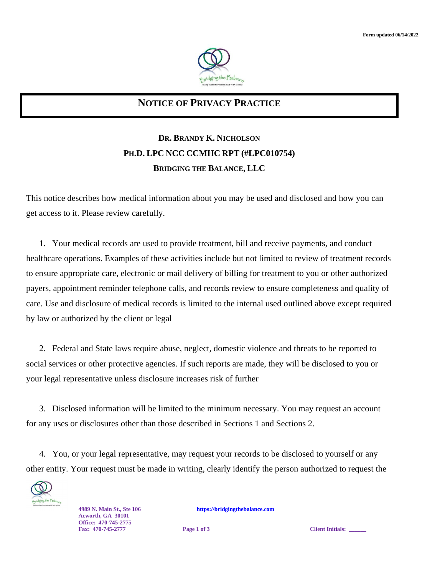

## **NOTICE OF PRIVACY PRACTICE**

## **DR. BRANDY K. NICHOLSON PH.D. LPC NCC CCMHC RPT (#LPC010754) BRIDGING THE BALANCE, LLC**

This notice describes how medical information about you may be used and disclosed and how you can get access to it. Please review carefully.

1. Your medical records are used to provide treatment, bill and receive payments, and conduct healthcare operations. Examples of these activities include but not limited to review of treatment records to ensure appropriate care, electronic or mail delivery of billing for treatment to you or other authorized payers, appointment reminder telephone calls, and records review to ensure completeness and quality of care. Use and disclosure of medical records is limited to the internal used outlined above except required by law or authorized by the client or legal

2. Federal and State laws require abuse, neglect, domestic violence and threats to be reported to social services or other protective agencies. If such reports are made, they will be disclosed to you or your legal representative unless disclosure increases risk of further

3. Disclosed information will be limited to the minimum necessary. You may request an account for any uses or disclosures other than those described in Sections 1 and Sections 2.

4. You, or your legal representative, may request your records to be disclosed to yourself or any other entity. Your request must be made in writing, clearly identify the person authorized to request the



**Acworth, GA 30101 Office: 470-745-2775**

**4989 N. Main St., Ste 106 [https://bridgingthebalance.com](https://bridgingthebalance.com/)**

**Fage 1** of 3 **Client Initials:**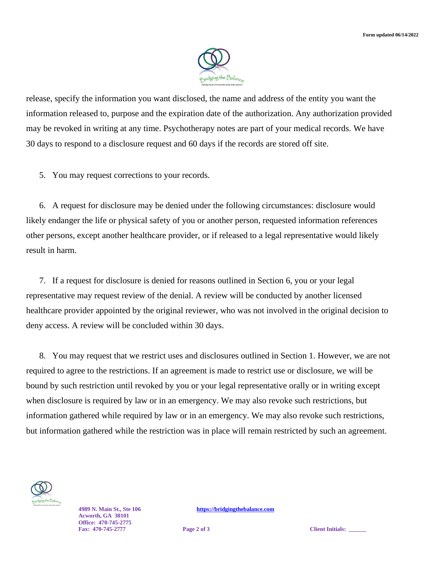

release, specify the information you want disclosed, the name and address of the entity you want the information released to, purpose and the expiration date of the authorization. Any authorization provided may be revoked in writing at any time. Psychotherapy notes are part of your medical records. We have 30 days to respond to a disclosure request and 60 days if the records are stored off site.

5. You may request corrections to your records.

6. A request for disclosure may be denied under the following circumstances: disclosure would likely endanger the life or physical safety of you or another person, requested information references other persons, except another healthcare provider, or if released to a legal representative would likely result in harm.

7. If a request for disclosure is denied for reasons outlined in Section 6, you or your legal representative may request review of the denial. A review will be conducted by another licensed healthcare provider appointed by the original reviewer, who was not involved in the original decision to deny access. A review will be concluded within 30 days.

8. You may request that we restrict uses and disclosures outlined in Section 1. However, we are not required to agree to the restrictions. If an agreement is made to restrict use or disclosure, we will be bound by such restriction until revoked by you or your legal representative orally or in writing except when disclosure is required by law or in an emergency. We may also revoke such restrictions, but information gathered while required by law or in an emergency. We may also revoke such restrictions, but information gathered while the restriction was in place will remain restricted by such an agreement.



**Acworth, GA 30101 Office: 470-745-2775**

**4989 N. Main St., Ste 106 [https://bridgingthebalance.com](https://bridgingthebalance.com/)**

**Fage 2 of 3 Client Initials:**